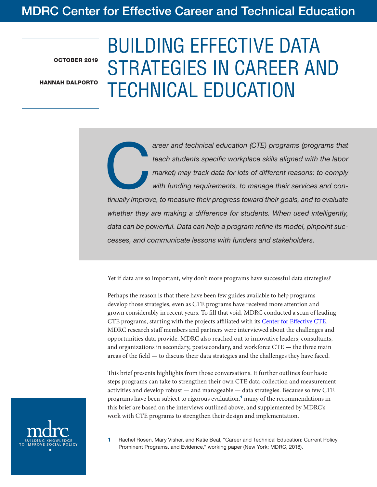# MDRC Center for Effective Career and Technical Education

# BUILDING EFFECTIVE DATA STRATEGIES IN CAREER AND TECHNICAL EDUCATION

OCTOBER 2019

HANNAH DALPORTO

areer and technical education (CTE) programs (programs that teach students specific workplace skills aligned with the labor market) may track data for lots of different reasons: to comply with funding requirements, to mana *teach students specific workplace skills aligned with the labor market) may track data for lots of different reasons: to comply with funding requirements, to manage their services and continually improve, to measure their progress toward their goals, and to evaluate whether they are making a difference for students. When used intelligently, data can be powerful. Data can help a program refine its model, pinpoint successes, and communicate lessons with funders and stakeholders.* 

Yet if data are so important, why don't more programs have successful data strategies?

Perhaps the reason is that there have been few guides available to help programs develop those strategies, even as CTE programs have received more attention and grown considerably in recent years. To fill that void, MDRC conducted a scan of leading CTE programs, starting with the projects affiliated with its Center for Effective CTE. MDRC research staff members and partners were interviewed about the challenges and opportunities data provide. MDRC also reached out to innovative leaders, consultants, and organizations in secondary, postsecondary, and workforce CTE — the three main areas of the field — to discuss their data strategies and the challenges they have faced.

This brief presents highlights from those conversations. It further outlines four basic steps programs can take to strengthen their own CTE data-collection and measurement activities and develop robust — and manageable — data strategies. Because so few CTE programs have been subject to rigorous evaluation,<sup>1</sup> many of the recommendations in this brief are based on the interviews outlined above, and supplemented by MDRC's work with CTE programs to strengthen their design and implementation.



Rachel Rosen, Mary Visher, and Katie Beal, "Career and Technical Education: Current Policy, Prominent Programs, and Evidence," working paper (New York: MDRC, 2018).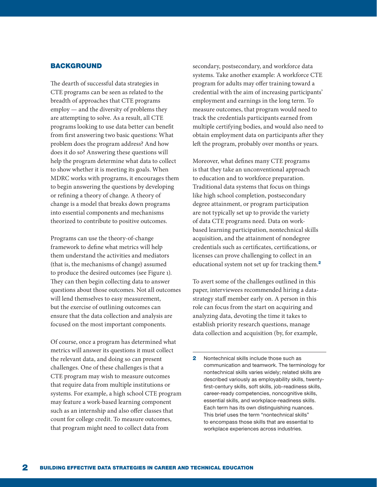#### BACKGROUND

The dearth of successful data strategies in CTE programs can be seen as related to the breadth of approaches that CTE programs employ — and the diversity of problems they are attempting to solve. As a result, all CTE programs looking to use data better can benefit from first answering two basic questions: What problem does the program address? And how does it do so? Answering these questions will help the program determine what data to collect to show whether it is meeting its goals. When MDRC works with programs, it encourages them to begin answering the questions by developing or refining a theory of change. A theory of change is a model that breaks down programs into essential components and mechanisms theorized to contribute to positive outcomes.

Programs can use the theory-of-change framework to define what metrics will help them understand the activities and mediators (that is, the mechanisms of change) assumed to produce the desired outcomes (see Figure 1). They can then begin collecting data to answer questions about those outcomes. Not all outcomes will lend themselves to easy measurement, but the exercise of outlining outcomes can ensure that the data collection and analysis are focused on the most important components.

Of course, once a program has determined what metrics will answer its questions it must collect the relevant data, and doing so can present challenges. One of these challenges is that a CTE program may wish to measure outcomes that require data from multiple institutions or systems. For example, a high school CTE program may feature a work-based learning component such as an internship and also offer classes that count for college credit. To measure outcomes, that program might need to collect data from

secondary, postsecondary, and workforce data systems. Take another example: A workforce CTE program for adults may offer training toward a credential with the aim of increasing participants' employment and earnings in the long term. To measure outcomes, that program would need to track the credentials participants earned from multiple certifying bodies, and would also need to obtain employment data on participants after they left the program, probably over months or years.

Moreover, what defines many CTE programs is that they take an unconventional approach to education and to workforce preparation. Traditional data systems that focus on things like high school completion, postsecondary degree attainment, or program participation are not typically set up to provide the variety of data CTE programs need. Data on workbased learning participation, nontechnical skills acquisition, and the attainment of nondegree credentials such as certificates, certifications, or licenses can prove challenging to collect in an educational system not set up for tracking them.<sup>2</sup>

To avert some of the challenges outlined in this paper, interviewees recommended hiring a datastrategy staff member early on. A person in this role can focus from the start on acquiring and analyzing data, devoting the time it takes to establish priority research questions, manage data collection and acquisition (by, for example,

2 Nontechnical skills include those such as communication and teamwork. The terminology for nontechnical skills varies widely; related skills are described variously as employability skills, twentyfirst-century skills, soft skills, job-readiness skills, career-ready competencies, noncognitive skills, essential skills, and workplace-readiness skills. Each term has its own distinguishing nuances. This brief uses the term "nontechnical skills" to encompass those skills that are essential to workplace experiences across industries.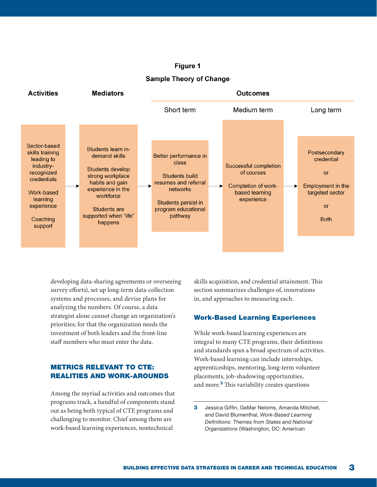# **Figure 1**

#### **Sample Theory of Change**



developing data-sharing agreements or overseeing survey efforts), set up long-term data-collection systems and processes, and devise plans for analyzing the numbers. Of course, a data strategist alone cannot change an organization's priorities; for that the organization needs the investment of both leaders and the front-line staff members who must enter the data.

# METRICS RELEVANT TO CTE: REALITIES AND WORK-AROUNDS

Among the myriad activities and outcomes that programs track, a handful of components stand out as being both typical of CTE programs and challenging to monitor. Chief among them are work-based learning experiences, nontechnical

skills acquisition, and credential attainment. This section summarizes challenges of, innovations in, and approaches to measuring each.

#### Work-Based Learning Experiences

While work-based learning experiences are integral to many CTE programs, their definitions and standards span a broad spectrum of activities. Work-based learning can include internships, apprenticeships, mentoring, long-term volunteer placements, job-shadowing opportunities, and more.<sup>3</sup> This variability creates questions

<sup>3</sup> Jessica Giffin, GeMar Neloms, Amanda Mitchell, and David Blumenthal, *Work-Based Learning Definitions: Themes from States and National Organizations* (Washington, DC: American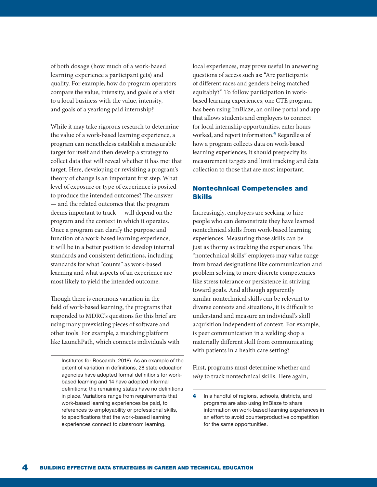of both dosage (how much of a work-based learning experience a participant gets) and quality. For example, how do program operators compare the value, intensity, and goals of a visit to a local business with the value, intensity, and goals of a yearlong paid internship?

While it may take rigorous research to determine the value of a work-based learning experience, a program can nonetheless establish a measurable target for itself and then develop a strategy to collect data that will reveal whether it has met that target. Here, developing or revisiting a program's theory of change is an important first step. What level of exposure or type of experience is posited to produce the intended outcomes? The answer — and the related outcomes that the program deems important to track — will depend on the program and the context in which it operates. Once a program can clarify the purpose and function of a work-based learning experience, it will be in a better position to develop internal standards and consistent definitions, including standards for what "counts" as work-based learning and what aspects of an experience are most likely to yield the intended outcome.

Though there is enormous variation in the field of work-based learning, the programs that responded to MDRC's questions for this brief are using many preexisting pieces of software and other tools. For example, a matching platform like LaunchPath, which connects individuals with

Institutes for Research, 2018). As an example of the extent of variation in definitions, 28 state education agencies have adopted formal definitions for workbased learning and 14 have adopted informal definitions; the remaining states have no definitions in place. Variations range from requirements that work-based learning experiences be paid, to references to employability or professional skills, to specifications that the work-based learning experiences connect to classroom learning.

local experiences, may prove useful in answering questions of access such as: "Are participants of different races and genders being matched equitably?" To follow participation in workbased learning experiences, one CTE program has been using ImBlaze, an online portal and app that allows students and employers to connect for local internship opportunities, enter hours worked, and report information.<sup>4</sup> Regardless of how a program collects data on work-based learning experiences, it should prespecify its measurement targets and limit tracking and data collection to those that are most important.

## Nontechnical Competencies and Skills

Increasingly, employers are seeking to hire people who can demonstrate they have learned nontechnical skills from work-based learning experiences. Measuring those skills can be just as thorny as tracking the experiences. The "nontechnical skills" employers may value range from broad designations like communication and problem solving to more discrete competencies like stress tolerance or persistence in striving toward goals. And although apparently similar nontechnical skills can be relevant to diverse contexts and situations, it is difficult to understand and measure an individual's skill acquisition independent of context. For example, is peer communication in a welding shop a materially different skill from communicating with patients in a health care setting?

First, programs must determine whether and *why* to track nontechnical skills. Here again,

<sup>4</sup> In a handful of regions, schools, districts, and programs are also using ImBlaze to share information on work-based learning experiences in an effort to avoid counterproductive competition for the same opportunities.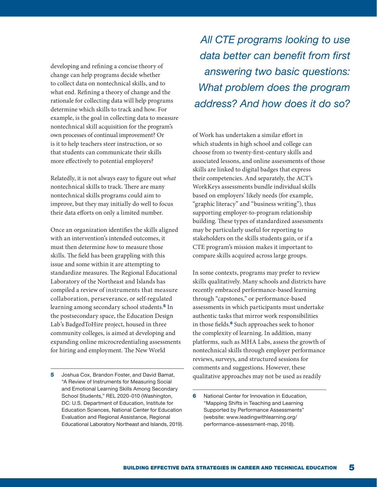developing and refining a concise theory of change can help programs decide whether to collect data on nontechnical skills, and to what end. Refining a theory of change and the rationale for collecting data will help programs determine which skills to track and how. For example, is the goal in collecting data to measure nontechnical skill acquisition for the program's own processes of continual improvement? Or is it to help teachers steer instruction, or so that students can communicate their skills more effectively to potential employers?

Relatedly, it is not always easy to figure out *what* nontechnical skills to track. There are many nontechnical skills programs could aim to improve, but they may initially do well to focus their data efforts on only a limited number.

Once an organization identifies the skills aligned with an intervention's intended outcomes, it must then determine *how* to measure those skills. The field has been grappling with this issue and some within it are attempting to standardize measures. The Regional Educational Laboratory of the Northeast and Islands has compiled a review of instruments that measure collaboration, perseverance, or self-regulated learning among secondary school students.<sup>5</sup> In the postsecondary space, the Education Design Lab's BadgedToHire project, housed in three community colleges, is aimed at developing and expanding online microcredentialing assessments for hiring and employment. The New World

5 Joshua Cox, Brandon Foster, and David Bamat, "A Review of Instruments for Measuring Social and Emotional Learning Skills Among Secondary School Students," REL 2020-010 (Washington, DC: U.S. Department of Education, Institute for Education Sciences, National Center for Education Evaluation and Regional Assistance, Regional Educational Laboratory Northeast and Islands, 2019).

*All CTE programs looking to use data better can benefit from first answering two basic questions: What problem does the program address? And how does it do so?*

of Work has undertaken a similar effort in which students in high school and college can choose from 10 twenty-first-century skills and associated lessons, and online assessments of those skills are linked to digital badges that express their competencies. And separately, the ACT's WorkKeys assessments bundle individual skills based on employers' likely needs (for example, "graphic literacy" and "business writing"), thus supporting employer-to-program relationship building. These types of standardized assessments may be particularly useful for reporting to stakeholders on the skills students gain, or if a CTE program's mission makes it important to compare skills acquired across large groups.

In some contexts, programs may prefer to review skills qualitatively. Many schools and districts have recently embraced performance-based learning through "capstones," or performance-based assessments in which participants must undertake authentic tasks that mirror work responsibilities in those fields.<sup>6</sup> Such approaches seek to honor the complexity of learning. In addition, many platforms, such as MHA Labs, assess the growth of nontechnical skills through employer performance reviews, surveys, and structured sessions for comments and suggestions. However, these qualitative approaches may not be used as readily

**<sup>6</sup>** National Center for Innovation in Education, "Mapping Shifts in Teaching and Learning Supported by Performance Assessments" (website: www.leadingwithlearning.org/ performance-assessment-map, 2018).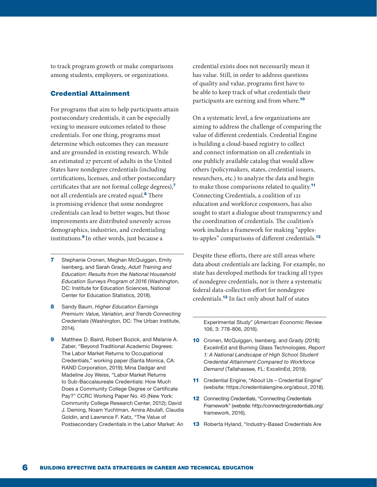to track program growth or make comparisons among students, employers, or organizations.

#### Credential Attainment

For programs that aim to help participants attain postsecondary credentials, it can be especially vexing to measure outcomes related to those credentials. For one thing, programs must determine which outcomes they can measure and are grounded in existing research. While an estimated 27 percent of adults in the United States have nondegree credentials (including certifications, licenses, and other postsecondary certificates that are not formal college degrees),<sup>7</sup> not all credentials are created equal.<sup>8</sup> There is promising evidence that some nondegree credentials can lead to better wages, but those improvements are distributed unevenly across demographics, industries, and credentialing institutions.<sup>9</sup> In other words, just because a

- 7 Stephanie Cronen, Meghan McQuiggan, Emily Isenberg, and Sarah Grady, *Adult Training and Education: Results from the National Household Education Surveys Program of 2016* (Washington, DC: Institute for Education Sciences, National Center for Education Statistics, 2018).
- 8 Sandy Baum, *Higher Education Earnings Premium: Value, Variation, and Trends Connecting Credentials* (Washington, DC: The Urban Institute, 2014).
- 9 Matthew D. Baird. Robert Bozick, and Melanie A. Zaber, "Beyond Traditional Academic Degrees: The Labor Market Returns to Occupational Credentials," working paper (Santa Monica, CA: RAND Corporation, 2019); Mina Dadgar and Madeline Joy Weiss, "Labor Market Returns to Sub-Baccalaureate Credentials: How Much Does a Community College Degree or Certificate Pay?" CCRC Working Paper No. 45 (New York: Community College Research Center, 2012); David J. Deming, Noam Yuchtman, Amira Abulafi, Claudia Goldin, and Lawrence F. Katz, "The Value of Postsecondary Credentials in the Labor Market: An

credential exists does not necessarily mean it has value. Still, in order to address questions of quality and value, programs first have to be able to keep track of what credentials their participants are earning and from where.<sup>10</sup>

On a systematic level, a few organizations are aiming to address the challenge of comparing the value of different credentials. Credential Engine is building a cloud-based registry to collect and connect information on all credentials in one publicly available catalog that would allow others (policymakers, states, credential issuers, researchers, etc.) to analyze the data and begin to make those comparisons related to quality.<sup>11</sup> Connecting Credentials, a coalition of 121 education and workforce cosponsors, has also sought to start a dialogue about transparency and the coordination of credentials. The coalition's work includes a framework for making "applesto-apples" comparisons of different credentials.<sup>12</sup>

Despite these efforts, there are still areas where data about credentials are lacking. For example, no state has developed methods for tracking all types of nondegree credentials, nor is there a systematic federal data-collection effort for nondegree credentials.<sup>13</sup> In fact only about half of states

Experimental Study" (*American Economic Review* 106, 3: 778-806, 2016).

- 10 Cronen, McQuiggan, Isenberg, and Grady (2018); ExcelinEd and Burning Glass Technologies, *Report 1: A National Landscape of High School Student Credential Attainment Compared to Workforce Demand* (Tallahassee, FL: ExcelinEd, 2019).
- 11 Credential Engine, "About Us Credential Engine" (website: https://credentialengine.org/about, 2018).
- 12 Connecting Credentials, "Connecting Credentials Framework" (website: http://connectingcredentials.org/ framework, 2016).
- 13 Roberta Hyland, "Industry-Based Credentials Are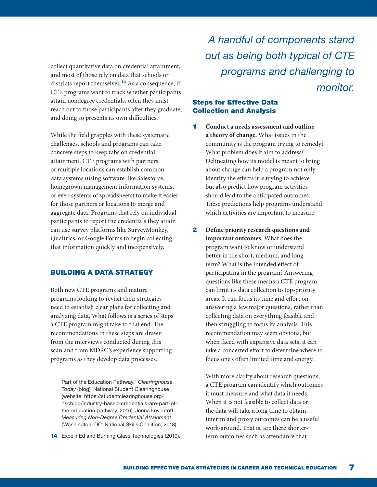collect quantitative data on credential attainment, and most of those rely on data that schools or districts report themselves.<sup>14</sup> As a consequence, if CTE programs want to track whether participants attain nondegree credentials, often they must reach out to those participants after they graduate, and doing so presents its own difficulties.

While the field grapples with these systematic challenges, schools and programs can take concrete steps to keep tabs on credential attainment. CTE programs with partners or multiple locations can establish common data systems (using software like Salesforce, homegrown management information systems, or even systems of spreadsheets) to make it easier for those partners or locations to merge and aggregate data. Programs that rely on individual participants to report the credentials they attain can use survey platforms like SurveyMonkey, Qualtrics, or Google Forms to begin collecting that information quickly and inexpensively.

## BUILDING A DATA STRATEGY

Both new CTE programs and mature programs looking to revisit their strategies need to establish clear plans for collecting and analyzing data. What follows is a series of steps a CTE program might take to that end. The recommendations in these steps are drawn from the interviews conducted during this scan and from MDRC's experience supporting programs as they develop data processes.

Part of the Education Pathway," *Clearinghouse Today* (blog), National Student Clearinghouse (website: https://studentclearinghouse.org/ nscblog/industry-based-credentials-are-part-ofthe-education-pathway, 2016); Jenna Leventoff, *Measuring Non-Degree Credential Attainment* (Washington, DC: National Skills Coalition, 2018).

14 ExcelinEd and Burning Glass Technologies (2019).

*A handful of components stand out as being both typical of CTE programs and challenging to monitor.*

## Steps for Effective Data Collection and Analysis

- 1 **Conduct a needs assessment and outline a theory of change.** What issues in the community is the program trying to remedy? What problem does it aim to address? Delineating how its model is meant to bring about change can help a program not only identify the effects it is trying to achieve but also predict how program activities should lead to the anticipated outcomes. These predictions help programs understand which activities are important to measure.
- 2 **Define priority research questions and important outcomes.** What does the program want to know or understand better in the short, medium, and long term? What is the intended effect of participating in the program? Answering questions like these means a CTE program can limit its data collection to top-priority areas. It can focus its time and effort on answering a few major questions, rather than collecting data on everything feasible and then struggling to focus its analysis. This recommendation may seem obvious, but when faced with expansive data sets, it can take a concerted effort to determine where to focus one's often limited time and energy.

With more clarity about research questions, a CTE program can identify which outcomes it must measure and what data it needs. When it is not feasible to collect data or the data will take a long time to obtain, interim and proxy outcomes can be a useful work-around. That is, are there shorterterm outcomes such as attendance that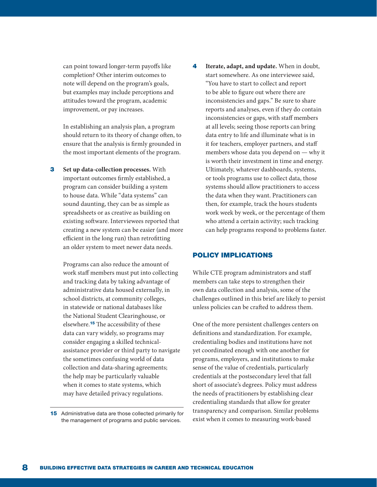can point toward longer-term payoffs like completion? Other interim outcomes to note will depend on the program's goals, but examples may include perceptions and attitudes toward the program, academic improvement, or pay increases.

In establishing an analysis plan, a program should return to its theory of change often, to ensure that the analysis is firmly grounded in the most important elements of the program.

3 **Set up data-collection processes.** With important outcomes firmly established, a program can consider building a system to house data. While "data systems" can sound daunting, they can be as simple as spreadsheets or as creative as building on existing software. Interviewees reported that creating a new system can be easier (and more efficient in the long run) than retrofitting an older system to meet newer data needs.

Programs can also reduce the amount of work staff members must put into collecting and tracking data by taking advantage of administrative data housed externally, in school districts, at community colleges, in statewide or national databases like the National Student Clearinghouse, or elsewhere.<sup>15</sup> The accessibility of these data can vary widely, so programs may consider engaging a skilled technicalassistance provider or third party to navigate the sometimes confusing world of data collection and data-sharing agreements; the help may be particularly valuable when it comes to state systems, which may have detailed privacy regulations.

4 **Iterate, adapt, and update.** When in doubt, start somewhere. As one interviewee said, "You have to start to collect and report to be able to figure out where there are inconsistencies and gaps." Be sure to share reports and analyses, even if they do contain inconsistencies or gaps, with staff members at all levels; seeing those reports can bring data entry to life and illuminate what is in it for teachers, employer partners, and staff members whose data you depend on — why it is worth their investment in time and energy. Ultimately, whatever dashboards, systems, or tools programs use to collect data, those systems should allow practitioners to access the data when they want. Practitioners can then, for example, track the hours students work week by week, or the percentage of them who attend a certain activity; such tracking can help programs respond to problems faster.

#### POLICY IMPLICATIONS

While CTE program administrators and staff members can take steps to strengthen their own data collection and analysis, some of the challenges outlined in this brief are likely to persist unless policies can be crafted to address them.

One of the more persistent challenges centers on definitions and standardization. For example, credentialing bodies and institutions have not yet coordinated enough with one another for programs, employers, and institutions to make sense of the value of credentials, particularly credentials at the postsecondary level that fall short of associate's degrees. Policy must address the needs of practitioners by establishing clear credentialing standards that allow for greater transparency and comparison. Similar problems exist when it comes to measuring work-based

<sup>15</sup> Administrative data are those collected primarily for the management of programs and public services.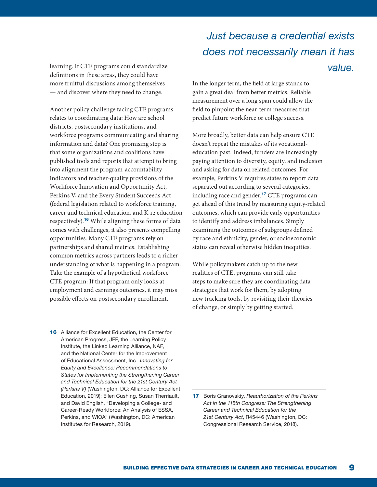# *Just because a credential exists does not necessarily mean it has value.*

learning. If CTE programs could standardize definitions in these areas, they could have more fruitful discussions among themselves — and discover where they need to change.

Another policy challenge facing CTE programs relates to coordinating data: How are school districts, postsecondary institutions, and workforce programs communicating and sharing information and data? One promising step is that some organizations and coalitions have published tools and reports that attempt to bring into alignment the program-accountability indicators and teacher-quality provisions of the Workforce Innovation and Opportunity Act, Perkins V, and the Every Student Succeeds Act (federal legislation related to workforce training, career and technical education, and K-12 education respectively).<sup>16</sup> While aligning these forms of data comes with challenges, it also presents compelling opportunities. Many CTE programs rely on partnerships and shared metrics. Establishing common metrics across partners leads to a richer understanding of what is happening in a program. Take the example of a hypothetical workforce CTE program: If that program only looks at employment and earnings outcomes, it may miss possible effects on postsecondary enrollment.

In the longer term, the field at large stands to gain a great deal from better metrics. Reliable measurement over a long span could allow the field to pinpoint the near-term measures that predict future workforce or college success.

More broadly, better data can help ensure CTE doesn't repeat the mistakes of its vocationaleducation past. Indeed, funders are increasingly paying attention to diversity, equity, and inclusion and asking for data on related outcomes. For example, Perkins V requires states to report data separated out according to several categories, including race and gender.<sup>17</sup> CTE programs can get ahead of this trend by measuring equity-related outcomes, which can provide early opportunities to identify and address imbalances. Simply examining the outcomes of subgroups defined by race and ethnicity, gender, or socioeconomic status can reveal otherwise hidden inequities.

While policymakers catch up to the new realities of CTE, programs can still take steps to make sure they are coordinating data strategies that work for them, by adopting new tracking tools, by revisiting their theories of change, or simply by getting started.

16 Alliance for Excellent Education, the Center for American Progress, JFF, the Learning Policy Institute, the Linked Learning Alliance, NAF, and the National Center for the Improvement of Educational Assessment, Inc., *Innovating for Equity and Excellence: Recommendations to States for Implementing the Strengthening Career and Technical Education for the 21st Century Act (Perkins V)* (Washington, DC: Alliance for Excellent Education, 2019); Ellen Cushing, Susan Therriault, and David English, "Developing a College- and Career-Ready Workforce: An Analysis of ESSA, Perkins, and WIOA" (Washington, DC: American Institutes for Research, 2019).

17 Boris Granovskiy, *Reauthorization of the Perkins Act in the 115th Congress: The Strengthening Career and Technical Education for the 21st Century Act*, R45446 (Washington, DC: Congressional Research Service, 2018).